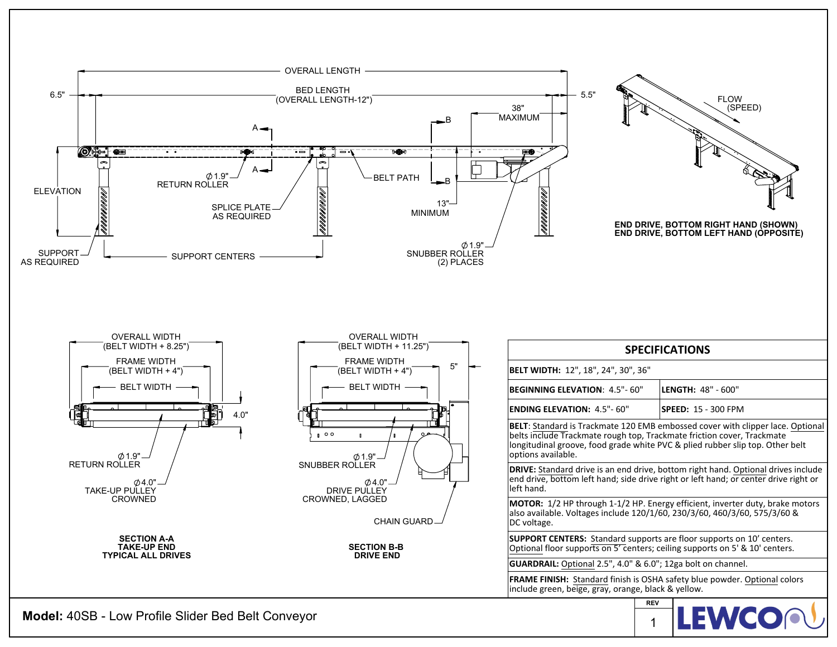

**Model:** 40SB - Low Profile Slider Bed Belt Conveyor